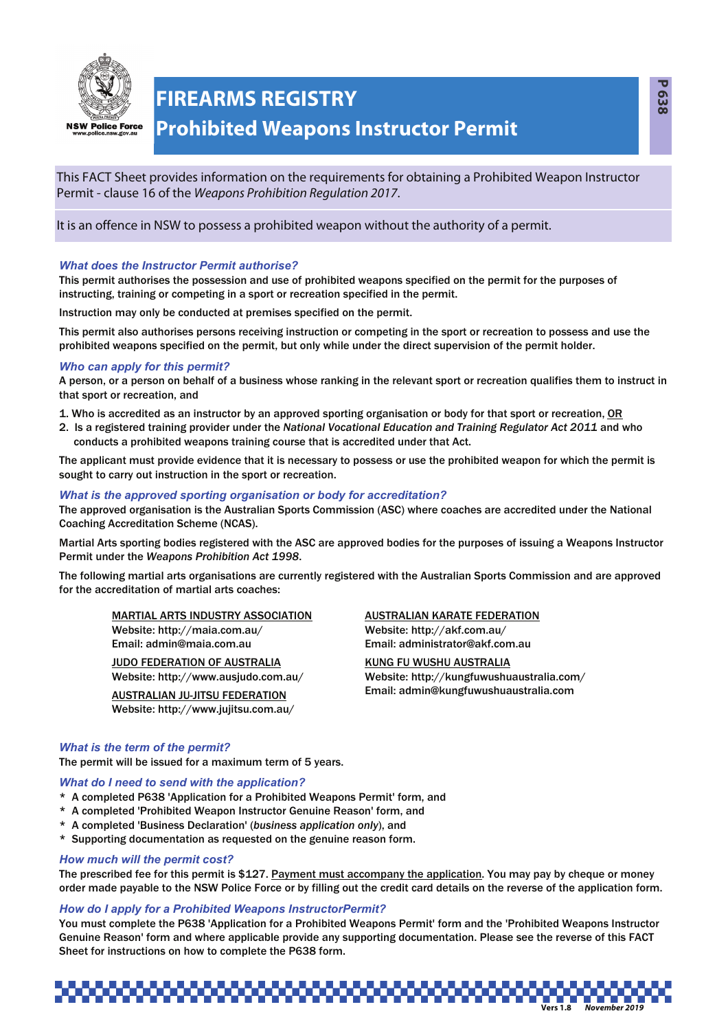

## **FIREARMS REGISTRY**

### **Prohibited Weapons Instructor Permit**

This FACT Sheet provides information on the requirements for obtaining a Prohibited Weapon Instructor Permit - clause 16 of the Weapons Prohibition Regulation 2017.

It is an offence in NSW to possess a prohibited weapon without the authority of a permit.

#### *What does the Instructor Permit authorise?*

This permit authorises the possession and use of prohibited weapons specified on the permit for the purposes of instructing, training or competing in a sport or recreation specified in the permit.

Instruction may only be conducted at premises specified on the permit.

This permit also authorises persons receiving instruction or competing in the sport or recreation to possess and use the prohibited weapons specified on the permit, but only while under the direct supervision of the permit holder.

#### *Who can apply for this permit?*

A person, or a person on behalf of a business whose ranking in the relevant sport or recreation qualifies them to instruct in that sport or recreation, and

1. Who is accredited as an instructor by an approved sporting organisation or body for that sport or recreation, OR

2. Is a registered training provider under the *National Vocational Education and Training Regulator Act 2011* and who conducts a prohibited weapons training course that is accredited under that Act.

The applicant must provide evidence that it is necessary to possess or use the prohibited weapon for which the permit is sought to carry out instruction in the sport or recreation.

#### *What is the approved sporting organisation or body for accreditation?*

The approved organisation is the Australian Sports Commission (ASC) where coaches are accredited under the National Coaching Accreditation Scheme (NCAS).

Martial Arts sporting bodies registered with the ASC are approved bodies for the purposes of issuing a Weapons Instructor Permit under the *Weapons Prohibition Act 1998*.

The following martial arts organisations are currently registered with the Australian Sports Commission and are approved for the accreditation of martial arts coaches:

MARTIAL ARTS INDUSTRY ASSOCIATION Website: http://maia.com.au/ Email: admin@maia.com.au

JUDO FEDERATION OF AUSTRALIA Website: http://www.ausjudo.com.au/

AUSTRALIAN JU-JITSU FEDERATION Website: http://www.jujitsu.com.au/

### AUSTRALIAN KARATE FEDERATION

Website: http://akf.com.au/ Email: administrator@akf.com.au

KUNG FU WUSHU AUSTRALIA Website: http://kungfuwushuaustralia.com/ Email: admin@kungfuwushuaustralia.com

#### *What is the term of the permit?*

The permit will be issued for a maximum term of 5 years.

#### *What do I need to send with the application?*

- \* A completed P638 'Application for a Prohibited Weapons Permit' form, and
- \* A completed 'Prohibited Weapon Instructor Genuine Reason' form, and
- \* A completed 'Business Declaration' (*business application only*), and
- \* Supporting documentation as requested on the genuine reason form.

#### *How much will the permit cost?*

The prescribed fee for this permit is \$127. Payment must accompany the application. You may pay by cheque or money order made payable to the NSW Police Force or by filling out the credit card details on the reverse of the application form.

#### *How do I apply for a Prohibited Weapons InstructorPermit?*

You must complete the P638 'Application for a Prohibited Weapons Permit' form and the 'Prohibited Weapons Instructor Genuine Reason' form and where applicable provide any supporting documentation. Please see the reverse of this FACT Sheet for instructions on how to complete the P638 form.

# **Vers 1.8** *November 2019*